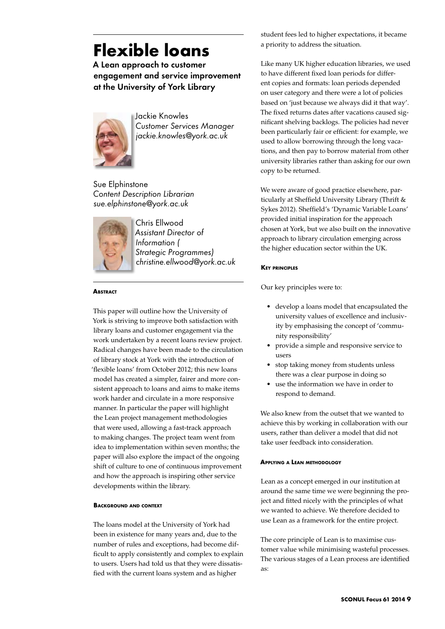# **Flexible loans**

A Lean approach to customer engagement and service improvement at the University of York Library



Jackie Knowles *Customer Services Manager jackie.knowles@york.ac.uk*

Sue Elphinstone *Content Description Librarian sue.elphinstone@york.ac.uk*



Chris Ellwood *Assistant Director of Information ( Strategic Programmes) christine.ellwood@york.ac.uk*

# **Abstract**

This paper will outline how the University of York is striving to improve both satisfaction with library loans and customer engagement via the work undertaken by a recent loans review project. Radical changes have been made to the circulation of library stock at York with the introduction of 'flexible loans' from October 2012; this new loans model has created a simpler, fairer and more consistent approach to loans and aims to make items work harder and circulate in a more responsive manner. In particular the paper will highlight the Lean project management methodologies that were used, allowing a fast-track approach to making changes. The project team went from idea to implementation within seven months; the paper will also explore the impact of the ongoing shift of culture to one of continuous improvement and how the approach is inspiring other service developments within the library.

#### **Background and context**

The loans model at the University of York had been in existence for many years and, due to the number of rules and exceptions, had become difficult to apply consistently and complex to explain to users. Users had told us that they were dissatisfied with the current loans system and as higher

student fees led to higher expectations, it became a priority to address the situation.

Like many UK higher education libraries, we used to have different fixed loan periods for different copies and formats: loan periods depended on user category and there were a lot of policies based on 'just because we always did it that way'. The fixed returns dates after vacations caused significant shelving backlogs. The policies had never been particularly fair or efficient: for example, we used to allow borrowing through the long vacations, and then pay to borrow material from other university libraries rather than asking for our own copy to be returned.

We were aware of good practice elsewhere, particularly at Sheffield University Library (Thrift & Sykes 2012). Sheffield's 'Dynamic Variable Loans' provided initial inspiration for the approach chosen at York, but we also built on the innovative approach to library circulation emerging across the higher education sector within the UK.

# **Key principles**

Our key principles were to:

- • develop a loans model that encapsulated the university values of excellence and inclusivity by emphasising the concept of 'community responsibility'
- • provide a simple and responsive service to users
- stop taking money from students unless there was a clear purpose in doing so
- use the information we have in order to respond to demand.

We also knew from the outset that we wanted to achieve this by working in collaboration with our users, rather than deliver a model that did not take user feedback into consideration.

# **Applying a Lean methodology**

Lean as a concept emerged in our institution at around the same time we were beginning the project and fitted nicely with the principles of what we wanted to achieve. We therefore decided to use Lean as a framework for the entire project.

The core principle of Lean is to maximise customer value while minimising wasteful processes. The various stages of a Lean process are identified as: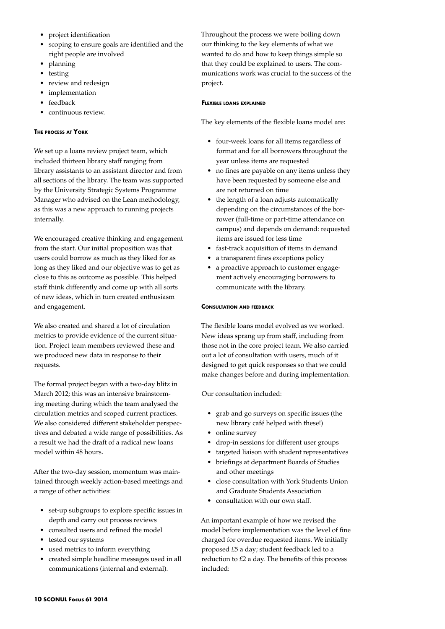- • project identification
- • scoping to ensure goals are identified and the right people are involved
- • planning
- • testing
- review and redesign
- implementation
- feedback
- continuous review.

## **The process at York**

We set up a loans review project team, which included thirteen library staff ranging from library assistants to an assistant director and from all sections of the library. The team was supported by the University Strategic Systems Programme Manager who advised on the Lean methodology, as this was a new approach to running projects internally.

We encouraged creative thinking and engagement from the start. Our initial proposition was that users could borrow as much as they liked for as long as they liked and our objective was to get as close to this as outcome as possible. This helped staff think differently and come up with all sorts of new ideas, which in turn created enthusiasm and engagement.

We also created and shared a lot of circulation metrics to provide evidence of the current situation. Project team members reviewed these and we produced new data in response to their requests.

The formal project began with a two-day blitz in March 2012; this was an intensive brainstorming meeting during which the team analysed the circulation metrics and scoped current practices. We also considered different stakeholder perspectives and debated a wide range of possibilities. As a result we had the draft of a radical new loans model within 48 hours.

After the two-day session, momentum was maintained through weekly action-based meetings and a range of other activities:

- • set-up subgroups to explore specific issues in depth and carry out process reviews
- • consulted users and refined the model
- tested our systems
- used metrics to inform everything
- created simple headline messages used in all communications (internal and external).

Throughout the process we were boiling down our thinking to the key elements of what we wanted to do and how to keep things simple so that they could be explained to users. The communications work was crucial to the success of the project.

#### **Flexible loans explained**

The key elements of the flexible loans model are:

- • four-week loans for all items regardless of format and for all borrowers throughout the year unless items are requested
- no fines are payable on any items unless they have been requested by someone else and are not returned on time
- • the length of a loan adjusts automatically depending on the circumstances of the borrower (full-time or part-time attendance on campus) and depends on demand: requested items are issued for less time
- fast-track acquisition of items in demand
- a transparent fines exceptions policy
- a proactive approach to customer engagement actively encouraging borrowers to communicate with the library.

#### **Consultation and feedback**

The flexible loans model evolved as we worked. New ideas sprang up from staff, including from those not in the core project team. We also carried out a lot of consultation with users, much of it designed to get quick responses so that we could make changes before and during implementation.

Our consultation included:

- grab and go surveys on specific issues (the new library café helped with these!)
- online survey
- • drop-in sessions for different user groups
- targeted liaison with student representatives
- • briefings at department Boards of Studies and other meetings
- • close consultation with York Students Union and Graduate Students Association
- consultation with our own staff.

An important example of how we revised the model before implementation was the level of fine charged for overdue requested items. We initially proposed £5 a day; student feedback led to a reduction to £2 a day. The benefits of this process included: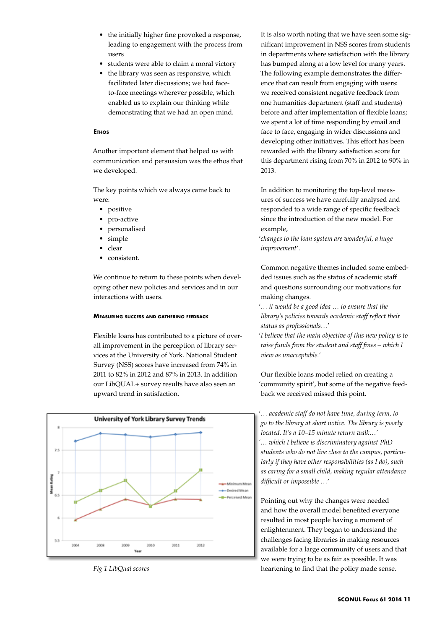- the initially higher fine provoked a response, leading to engagement with the process from users
- students were able to claim a moral victory
- the library was seen as responsive, which facilitated later discussions; we had faceto-face meetings wherever possible, which enabled us to explain our thinking while demonstrating that we had an open mind.

## **E**THOS

Another important element that helped us with communication and persuasion was the ethos that we developed.

The key points which we always came back to were:

- positive
- pro-active
- personalised
- simple
- • clear
- consistent.

We continue to return to these points when developing other new policies and services and in our interactions with users.

#### **Measuring success and gathering feedback**

Flexible loans has contributed to a picture of overall improvement in the perception of library services at the University of York. National Student Survey (NSS) scores have increased from 74% in 2011 to 82% in 2012 and 87% in 2013. In addition our LibQUAL+ survey results have also seen an upward trend in satisfaction.



*Fig 1 LibQual scores*

It is also worth noting that we have seen some significant improvement in NSS scores from students in departments where satisfaction with the library has bumped along at a low level for many years. The following example demonstrates the difference that can result from engaging with users: we received consistent negative feedback from one humanities department (staff and students) before and after implementation of flexible loans; we spent a lot of time responding by email and face to face, engaging in wider discussions and developing other initiatives. This effort has been rewarded with the library satisfaction score for this department rising from 70% in 2012 to 90% in 2013.

In addition to monitoring the top-level measures of success we have carefully analysed and responded to a wide range of specific feedback since the introduction of the new model. For example,

'*changes to the loan system are wonderful, a huge improvement*'.

Common negative themes included some embedded issues such as the status of academic staff and questions surrounding our motivations for making changes.

'*… it would be a good idea … to ensure that the library's policies towards academic staff reflect their status as professionals…*'

'*I believe that the main objective of this new policy is to raise funds from the student and staff fines – which I view as unacceptable.*'

Our flexible loans model relied on creating a 'community spirit', but some of the negative feedback we received missed this point.

'*… academic staff do not have time, during term, to go to the library at short notice. The library is poorly located. It's a 10–15 minute return walk…' '… which I believe is discriminatory against PhD students who do not live close to the campus, particularly if they have other responsibilities (as I do), such as caring for a small child, making regular attendance difficult or impossible …*'

Pointing out why the changes were needed and how the overall model benefited everyone resulted in most people having a moment of enlightenment. They began to understand the challenges facing libraries in making resources available for a large community of users and that we were trying to be as fair as possible. It was heartening to find that the policy made sense.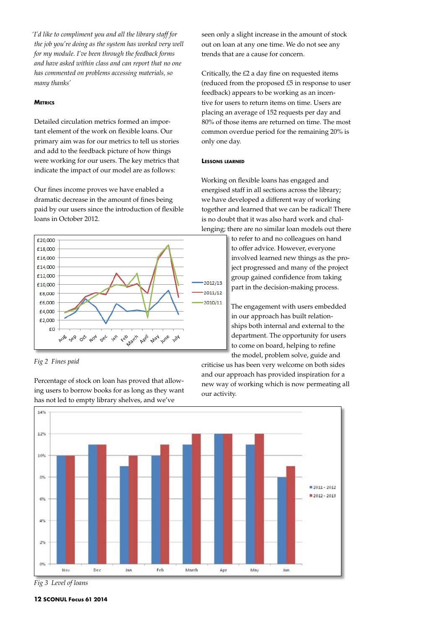*'I'd like to compliment you and all the library staff for the job you're doing as the system has worked very well for my module. I've been through the feedback forms and have asked within class and can report that no one has commented on problems accessing materials, so many thanks'*

## **Metrics**

Detailed circulation metrics formed an important element of the work on flexible loans. Our primary aim was for our metrics to tell us stories and add to the feedback picture of how things were working for our users. The key metrics that indicate the impact of our model are as follows:

Our fines income proves we have enabled a dramatic decrease in the amount of fines being paid by our users since the introduction of flexible loans in October 2012.



*Fig 2 Fines paid* 

has not led to empty library shelves, and we've  $14%$ 12% 10%  $040$  $= 2011 - 2012$ 2012 - 2013 6% 4% 28 Nov **Dec** Ian Feb March May Jun Apr

Percentage of stock on loan has proved that allowing users to borrow books for as long as they want seen only a slight increase in the amount of stock out on loan at any one time. We do not see any trends that are a cause for concern.

Critically, the £2 a day fine on requested items (reduced from the proposed £5 in response to user feedback) appears to be working as an incentive for users to return items on time. Users are placing an average of 152 requests per day and 80% of those items are returned on time. The most common overdue period for the remaining 20% is only one day.

#### **Lessons learned**

Working on flexible loans has engaged and energised staff in all sections across the library; we have developed a different way of working together and learned that we can be radical! There is no doubt that it was also hard work and challenging; there are no similar loan models out there

> to refer to and no colleagues on hand to offer advice. However, everyone involved learned new things as the project progressed and many of the project group gained confidence from taking part in the decision-making process.

The engagement with users embedded in our approach has built relationships both internal and external to the department. The opportunity for users to come on board, helping to refine the model, problem solve, guide and

criticise us has been very welcome on both sides and our approach has provided inspiration for a new way of working which is now permeating all our activity.

*Fig 3 Level of loans*